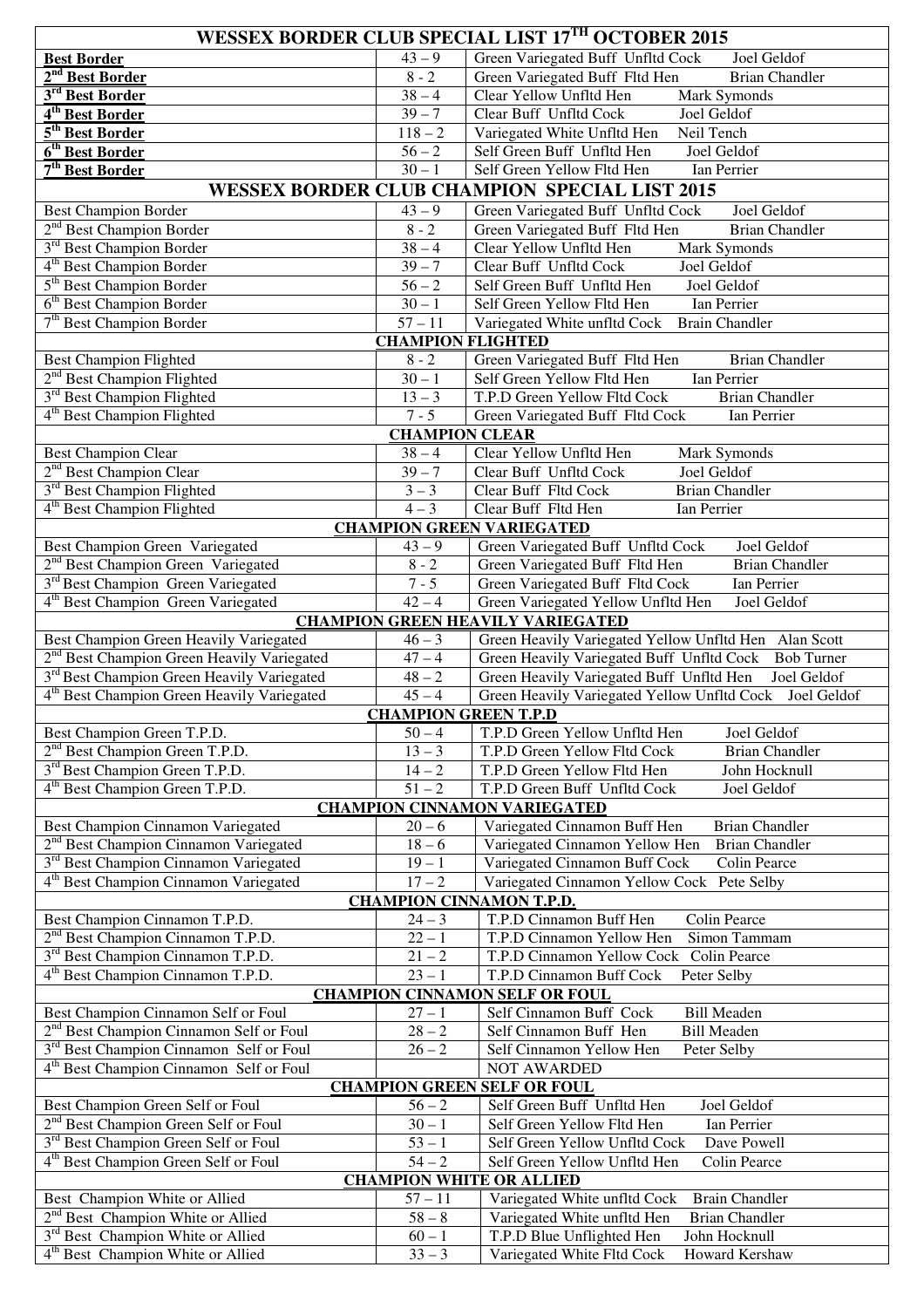| <b>WESSEX BORDER CLUB SPECIAL LIST 17TH OCTOBER 2015</b>                                               |                             |                                                                                                                  |  |
|--------------------------------------------------------------------------------------------------------|-----------------------------|------------------------------------------------------------------------------------------------------------------|--|
| <b>Best Border</b>                                                                                     | $43 - 9$                    | Green Variegated Buff Unfltd Cock<br>Joel Geldof                                                                 |  |
| 2 <sup>nd</sup> Best Border                                                                            | $8 - 2$                     | Green Variegated Buff Fltd Hen<br><b>Brian Chandler</b>                                                          |  |
| 3 <sup>rd</sup> Best Border                                                                            | $38 - 4$                    | Clear Yellow Unfltd Hen<br>Mark Symonds                                                                          |  |
| 4 <sup>th</sup> Best Border                                                                            | $39 - 7$                    | Clear Buff Unfltd Cock<br>Joel Geldof                                                                            |  |
| 5 <sup>th</sup> Best Border                                                                            | $118 - 2$                   | Variegated White Unfltd Hen<br>Neil Tench                                                                        |  |
| 6 <sup>th</sup> Best Border                                                                            | $56 - 2$                    | Self Green Buff Unfltd Hen<br>Joel Geldof                                                                        |  |
| 7 <sup>th</sup> Best Border                                                                            | $30 - 1$                    | Self Green Yellow Fltd Hen<br>Ian Perrier                                                                        |  |
|                                                                                                        |                             | <b>WESSEX BORDER CLUB CHAMPION SPECIAL LIST 2015</b>                                                             |  |
| <b>Best Champion Border</b><br>2 <sup>nd</sup> Best Champion Border                                    | $43 - 9$<br>$8 - 2$         | Green Variegated Buff Unfltd Cock<br>Joel Geldof<br>Green Variegated Buff Fltd Hen<br><b>Brian Chandler</b>      |  |
| 3 <sup>rd</sup> Best Champion Border                                                                   | $38 - 4$                    | <b>Mark Symonds</b><br>Clear Yellow Unfltd Hen                                                                   |  |
| 4 <sup>th</sup> Best Champion Border                                                                   | $39 - 7$                    | Clear Buff Unfltd Cock<br>Joel Geldof                                                                            |  |
| 5 <sup>th</sup> Best Champion Border                                                                   | $56 - 2$                    | Self Green Buff Unfltd Hen<br>Joel Geldof                                                                        |  |
| 6 <sup>th</sup> Best Champion Border                                                                   | $\frac{1}{30-1}$            | Self Green Yellow Fltd Hen<br>Ian Perrier                                                                        |  |
| 7 <sup>th</sup> Best Champion Border                                                                   | $57 - 11$                   | <b>Brain Chandler</b><br>Variegated White unfltd Cock                                                            |  |
|                                                                                                        | <b>CHAMPION FLIGHTED</b>    |                                                                                                                  |  |
| <b>Best Champion Flighted</b>                                                                          | $8 - 2$                     | Green Variegated Buff Fltd Hen<br><b>Brian Chandler</b>                                                          |  |
| 2 <sup>nd</sup> Best Champion Flighted                                                                 | $\frac{1}{30-1}$            | Self Green Yellow Fltd Hen<br>Ian Perrier                                                                        |  |
| 3 <sup>rd</sup> Best Champion Flighted                                                                 | $13 - 3$                    | <b>Brian Chandler</b><br>T.P.D Green Yellow Fltd Cock                                                            |  |
| 4 <sup>th</sup> Best Champion Flighted                                                                 | $7 - 5$                     | Green Variegated Buff Fltd Cock<br>Ian Perrier                                                                   |  |
|                                                                                                        | <b>CHAMPION CLEAR</b>       |                                                                                                                  |  |
| <b>Best Champion Clear</b>                                                                             | $38 - 4$                    | Clear Yellow Unfltd Hen<br>Mark Symonds                                                                          |  |
| 2 <sup>nd</sup> Best Champion Clear                                                                    | $\frac{39-7}{ }$            | Clear Buff Unfltd Cock<br>Joel Geldof                                                                            |  |
| 3 <sup>rd</sup> Best Champion Flighted                                                                 | $3 - 3$                     | Clear Buff Fltd Cock<br><b>Brian Chandler</b>                                                                    |  |
| 4 <sup>th</sup> Best Champion Flighted                                                                 | $4 - 3$                     | Clear Buff Fltd Hen<br>Ian Perrier                                                                               |  |
|                                                                                                        |                             | <b>CHAMPION GREEN VARIEGATED</b>                                                                                 |  |
| <b>Best Champion Green Variegated</b>                                                                  | $43 - 9$                    | Green Variegated Buff Unfltd Cock<br>Joel Geldof                                                                 |  |
| 2 <sup>nd</sup> Best Champion Green Variegated<br>3 <sup>rd</sup> Best Champion Green Variegated       | $8 - 2$<br>$7 - 5$          | Green Variegated Buff Fltd Hen<br><b>Brian Chandler</b><br><b>Green Variegated Buff Fltd Cock</b><br>Ian Perrier |  |
| 4 <sup>th</sup> Best Champion Green Variegated                                                         | $42 - 4$                    | Green Variegated Yellow Unfltd Hen<br>Joel Geldof                                                                |  |
|                                                                                                        |                             | <b>CHAMPION GREEN HEAVILY VARIEGATED</b>                                                                         |  |
| <b>Best Champion Green Heavily Variegated</b>                                                          | $46 - 3$                    | Green Heavily Variegated Yellow Unfltd Hen Alan Scott                                                            |  |
| 2 <sup>nd</sup> Best Champion Green Heavily Variegated                                                 | $47 - 4$                    | Green Heavily Variegated Buff Unfltd Cock Bob Turner                                                             |  |
| 3 <sup>rd</sup> Best Champion Green Heavily Variegated                                                 | $48 - 2$                    | Green Heavily Variegated Buff Unfltd Hen<br>Joel Geldof                                                          |  |
| 4 <sup>th</sup> Best Champion Green Heavily Variegated                                                 | $45 - 4$                    | Green Heavily Variegated Yellow Unfltd Cock Joel Geldof                                                          |  |
|                                                                                                        | <b>CHAMPION GREEN T.P.D</b> |                                                                                                                  |  |
| Best Champion Green T.P.D.                                                                             | $\overline{50} - 4$         | T.P.D Green Yellow Unfltd Hen<br>Joel Geldof                                                                     |  |
| 2 <sup>nd</sup> Best Champion Green T.P.D.                                                             | $13 - 3$                    | T.P.D Green Yellow Fltd Cock<br><b>Brian Chandler</b>                                                            |  |
| 3 <sup>rd</sup> Best Champion Green T.P.D.                                                             | $14 - 2$                    | T.P.D Green Yellow Fltd Hen<br>John Hocknull                                                                     |  |
| 4 <sup>th</sup> Best Champion Green T.P.D.                                                             | $51 - 2$                    | T.P.D Green Buff Unfltd Cock<br>Joel Geldof                                                                      |  |
| <b>CHAMPION CINNAMON VARIEGATED</b>                                                                    |                             |                                                                                                                  |  |
| Best Champion Cinnamon Variegated                                                                      | $20 - 6$                    | Variegated Cinnamon Buff Hen<br><b>Brian Chandler</b>                                                            |  |
| 2 <sup>nd</sup> Best Champion Cinnamon Variegated<br>3 <sup>rd</sup> Best Champion Cinnamon Variegated | $18 - 6$<br>$19 - 1$        | Variegated Cinnamon Yellow Hen<br><b>Brian Chandler</b><br>Colin Pearce                                          |  |
| 4 <sup>th</sup> Best Champion Cinnamon Variegated                                                      | $17 - 2$                    | Variegated Cinnamon Buff Cock<br>Variegated Cinnamon Yellow Cock Pete Selby                                      |  |
| <b>CHAMPION CINNAMON T.P.D.</b>                                                                        |                             |                                                                                                                  |  |
| Best Champion Cinnamon T.P.D.                                                                          | $24 - 3$                    | T.P.D Cinnamon Buff Hen<br>Colin Pearce                                                                          |  |
| 2 <sup>nd</sup> Best Champion Cinnamon T.P.D.                                                          | $22 - 1$                    | T.P.D Cinnamon Yellow Hen<br>Simon Tammam                                                                        |  |
| 3 <sup>rd</sup> Best Champion Cinnamon T.P.D.                                                          | $\overline{2}1-2$           | T.P.D Cinnamon Yellow Cock<br>Colin Pearce                                                                       |  |
| 4 <sup>th</sup> Best Champion Cinnamon T.P.D.                                                          | $23 - 1$                    | T.P.D Cinnamon Buff Cock<br>Peter Selby                                                                          |  |
| <b>CHAMPION CINNAMON SELF OR FOUL</b>                                                                  |                             |                                                                                                                  |  |
| Best Champion Cinnamon Self or Foul                                                                    | $27 - 1$                    | Self Cinnamon Buff Cock<br><b>Bill Meaden</b>                                                                    |  |
| 2 <sup>nd</sup> Best Champion Cinnamon Self or Foul                                                    | $28 - 2$                    | Self Cinnamon Buff Hen<br><b>Bill Meaden</b>                                                                     |  |
| 3 <sup>rd</sup> Best Champion Cinnamon Self or Foul                                                    | $26 - 2$                    | Self Cinnamon Yellow Hen<br>Peter Selby                                                                          |  |
| 4 <sup>th</sup> Best Champion Cinnamon Self or Foul                                                    |                             | <b>NOT AWARDED</b>                                                                                               |  |
| <b>CHAMPION GREEN SELF OR FOUL</b>                                                                     |                             |                                                                                                                  |  |
| Best Champion Green Self or Foul                                                                       | $56 - 2$                    | Self Green Buff Unfltd Hen<br>Joel Geldof                                                                        |  |
| 2 <sup>nd</sup> Best Champion Green Self or Foul                                                       | $30 - 1$                    | Self Green Yellow Fltd Hen<br>Ian Perrier                                                                        |  |
| 3 <sup>rd</sup> Best Champion Green Self or Foul<br>4 <sup>th</sup> Best Champion Green Self or Foul   | $53 - 1$<br>$54 - 2$        | Self Green Yellow Unfltd Cock<br>Dave Powell<br>Self Green Yellow Unfltd Hen<br>Colin Pearce                     |  |
| <b>CHAMPION WHITE OR ALLIED</b>                                                                        |                             |                                                                                                                  |  |
| Best Champion White or Allied                                                                          | $57 - 11$                   | Variegated White unfltd Cock<br><b>Brain Chandler</b>                                                            |  |
| 2 <sup>nd</sup> Best Champion White or Allied                                                          | $58 - 8$                    | Variegated White unfltd Hen<br><b>Brian Chandler</b>                                                             |  |
| 3 <sup>rd</sup> Best Champion White or Allied                                                          | $60 - 1$                    | T.P.D Blue Unflighted Hen<br>John Hocknull                                                                       |  |
| 4 <sup>th</sup> Best Champion White or Allied                                                          | $33 - 3$                    | Howard Kershaw<br>Variegated White Fltd Cock                                                                     |  |
|                                                                                                        |                             |                                                                                                                  |  |